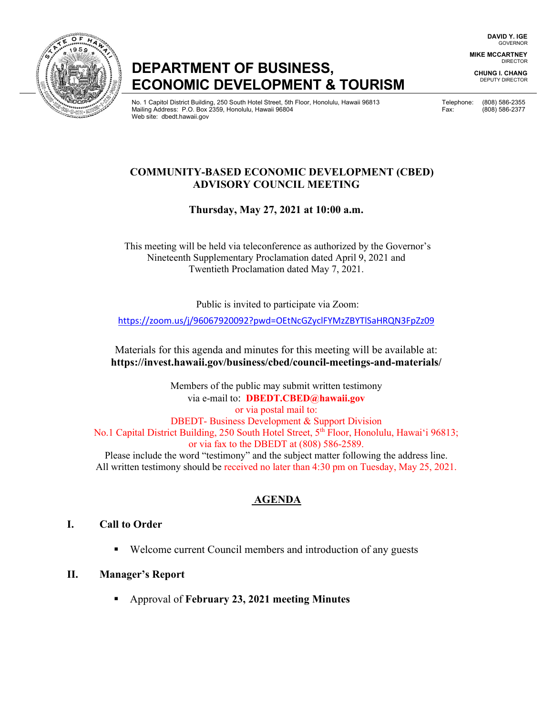**DAVID Y. IGE** GOVERNOR

**MIKE MCCARTNEY** DIRECTOR

**CHUNG I. CHANG** DEPUTY DIRECTOR

# **DEPARTMENT OF BUSINESS, ECONOMIC DEVELOPMENT & TOURISM**

No. 1 Capitol District Building, 250 South Hotel Street, 5th Floor, Honolulu, Hawaii 96813 Telephone: (808) 586-2355 Mailing Address: P.O. Box 2359, Honolulu, Hawaii 96804 Fax: (808) 586-2377 Web site: dbedt.hawaii.gov

### **COMMUNITY-BASED ECONOMIC DEVELOPMENT (CBED) ADVISORY COUNCIL MEETING**

## **Thursday, May 27, 2021 at 10:00 a.m.**

This meeting will be held via teleconference as authorized by the Governor's Nineteenth Supplementary Proclamation dated April 9, 2021 and Twentieth Proclamation dated May 7, 2021.

Public is invited to participate via Zoom:

<https://zoom.us/j/96067920092?pwd=OEtNcGZyclFYMzZBYTlSaHRQN3FpZz09>

Materials for this agenda and minutes for this meeting will be available at: **https://invest.hawaii.gov/business/cbed/council-meetings-and-materials/**

Members of the public may submit written testimony via e-mail to: **DBEDT.CBED@hawaii.gov** or via postal mail to: DBEDT- Business Development & Support Division No.1 Capital District Building, 250 South Hotel Street, 5<sup>th</sup> Floor, Honolulu, Hawai'i 96813; or via fax to the DBEDT at (808) 586-2589. Please include the word "testimony" and the subject matter following the address line. All written testimony should be received no later than 4:30 pm on Tuesday, May 25, 2021.

## **AGENDA**

#### **I. Call to Order**

■ Welcome current Council members and introduction of any guests

## **II. Manager's Report**

Approval of **February 23, 2021 meeting Minutes**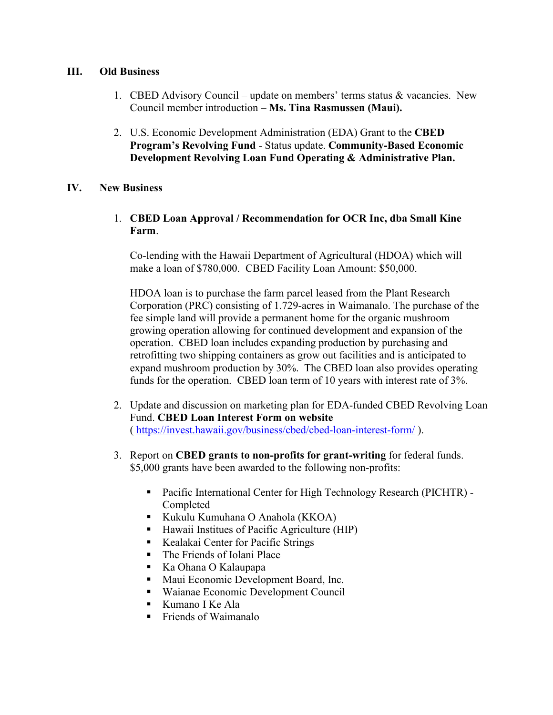#### **III. Old Business**

- 1. CBED Advisory Council update on members' terms status & vacancies. New Council member introduction – **Ms. Tina Rasmussen (Maui).**
- 2. U.S. Economic Development Administration (EDA) Grant to the **CBED Program's Revolving Fund** - Status update. **Community-Based Economic Development Revolving Loan Fund Operating & Administrative Plan.**

#### **IV. New Business**

1. **CBED Loan Approval / Recommendation for OCR Inc, dba Small Kine Farm**.

Co-lending with the Hawaii Department of Agricultural (HDOA) which will make a loan of \$780,000. CBED Facility Loan Amount: \$50,000.

HDOA loan is to purchase the farm parcel leased from the Plant Research Corporation (PRC) consisting of 1.729-acres in Waimanalo. The purchase of the fee simple land will provide a permanent home for the organic mushroom growing operation allowing for continued development and expansion of the operation. CBED loan includes expanding production by purchasing and retrofitting two shipping containers as grow out facilities and is anticipated to expand mushroom production by 30%. The CBED loan also provides operating funds for the operation. CBED loan term of 10 years with interest rate of 3%.

- 2. Update and discussion on marketing plan for EDA-funded CBED Revolving Loan Fund. **CBED Loan Interest Form on website** (<https://invest.hawaii.gov/business/cbed/cbed-loan-interest-form/> ).
- 3. Report on **CBED grants to non-profits for grant-writing** for federal funds. \$5,000 grants have been awarded to the following non-profits:
	- Pacific International Center for High Technology Research (PICHTR) Completed
	- Kukulu Kumuhana O Anahola (KKOA)
	- Hawaii Institues of Pacific Agriculture (HIP)
	- Kealakai Center for Pacific Strings
	- The Friends of Iolani Place
	- Ka Ohana O Kalaupapa
	- **Maui Economic Development Board, Inc.**
	- Waianae Economic Development Council
	- Kumano I Ke Ala
	- **Fixallering Friends of Waimanalo**